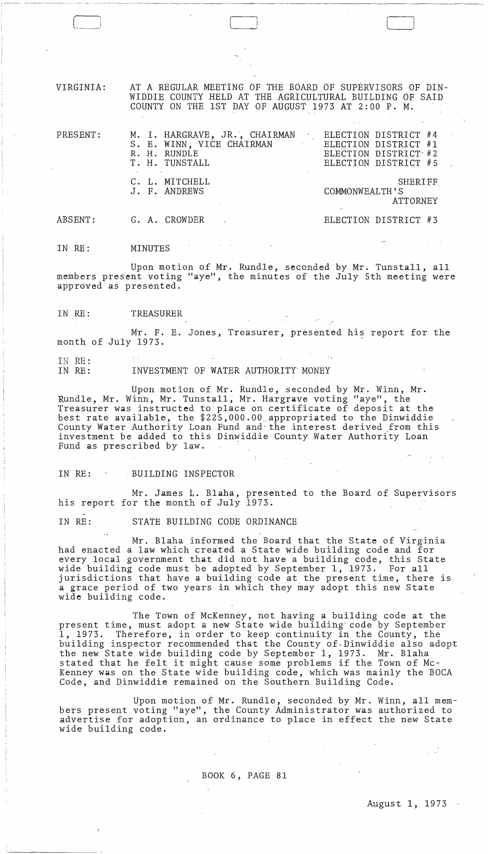VIRGINIA: AT A REGULAR MEETING OF THE BOARD OF SUPERVISORS OF DIN-WIDDIE COUNTY HELD AT THE AGRICULTURAL BUILDING OF SAID COUNTY ON THE 1ST DAY OF AUGUST 1973 AT 2:00 P. M.

| PRESENT: | M. I. HARGRAVE, JR., CHAIRMAN<br>S. E. WINN, VICE CHAIRMAN<br>R. H. RUNDLE<br>T. H. TUNSTALL | ELECTION DISTRICT #4<br>ELECTION DISTRICT #1<br>ELECTION DISTRICT #2<br>ELECTION DISTRICT #5 |
|----------|----------------------------------------------------------------------------------------------|----------------------------------------------------------------------------------------------|
|          | C. L. MITCHELL<br>J. F. ANDREWS                                                              | SHERIFF<br>COMMONWEALTH'S<br>ATTORNEY                                                        |
| ABSENT:  | G. A. CROWDER                                                                                | ELECTION DISTRICT #3                                                                         |

IN RE: MINUTES

r ---- ---------. - .. - - ---.----.-----.-----------~.--- --~--

Upon motion of Mr. Rundle, seconded by Mr. Tunstall, all members present voting "aye", the minutes of the July 5th meeting were approved as presented.

IN RE: TREASURER

Mr. F. E. Jones, Treasurer, presented his report for the month of July 1973.

IN RE:<br>IN RE:

INVESTMENT OF WATER AUTHORITY MONEY

Upon motion of Mr. Rundle, seconded by Mr. Winn, Mr. Rundle, Mr. Winn, Mr. Tunstall; Mr. Hargrave voting "aye", the Remarc, In: with, In: Tansaart, In: Inargrate teeng ayo, end the best rate available, the \$225,000.OO\_appropriated to the Dinwiddie County Water Authority Loan Fund and the interest derived from this investment be added to this Dinwiddie County Water Authority Loan Fund as prescribed by  $1aw.$ 

IN RE: BUILDING INSPECTOR

Mr. James L. Blaha, presented to the Board of Supervisors his report for the month of July 1973.

IN RE: STATE BUILDING CODE ORDINANCE

Mr. Blaha informed the Board that the State of Virginia had enacted a law which created a State wide building code and for every local government that did not have a building code, this State every rocal government that did not have a building code, this sea jurisdictions that have a building code at the preseni time, there is a grace period of two years in which they may adopt this new State wide building code.

The Town of McKenney, not having a building code at the present time, must adopt a new State wide building' code by September 1, 1973. Therefore, in order to keep continuity in the County, the building inspector recommended that the County of Dinwiddie also adopt the new State wide building code by September 1, 1973. Mr. Blaha stated that he felt it might cause some problems if the Town of Mc-Kenney was on the State wide building code, which was mainly the BOCA Code, and Dinwiddie remained on the Southern Building Code.

Upon motion of Mr. Rundle, seconded by Mr. Winn, all members present voting "aye", the County Administrator was authorized to advertise for adoption, an ordinance to place in effect the new State wide building code.

 $\sim 10^{-1}$ 

BOOK 6, PAGE 81

August 1, 1973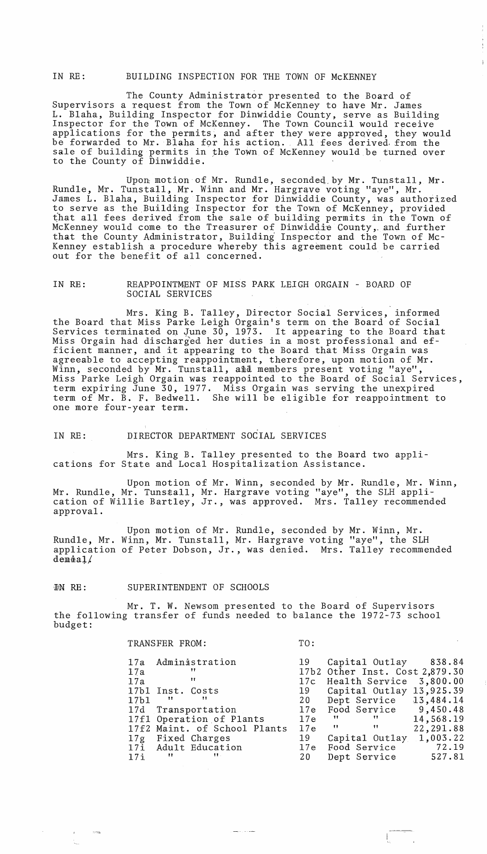#### IN RE: BUILDING INSPECTION FOR THE TOWN OF McKENNEY

The County Administrator presented to the Board of Supervisors a request from the Town of McKenney to have Mr. James L. Blaha, Building Inspector for Dinwiddie County, serve as Building Inspector for the Town of MCKenney. The Town Council would receive applications for the permits, and after they were approved, they would be forwarded to Mr. Blaha for his action. All fees derived. from the sale of building permits in the Town of McKenney would be turned over to the County of Dinwiddie.

Upon motion of Mr. Rundle, secondeq,by Mr. Tunstall, Mr. Rundle, Mr. Tunstall, Mr. Winn and Mr. Hargrave voting "aye", Mr. James L. Blaha, Building Inspector for Dinwiddie County, was authorized to serve as the Building Inspector for the Town of McKenney, provided that all fees derived from the sale of building permits in the Town of McKenney would come to the Treasurer of Dinwiddie County, and further that the County Administrator, Building' Inspector and the Town of Mc-Kenney establish a procedure whereby this agreement could be carried out for the benefit of all concerned.

# IN RE: REAPPOINTMENT OF MISS PARK LEIGH ORGAIN - BOARD OF SOCIAL SERVICES

Mrs. King B. Talley, Director Social Services, informed the Board that Miss Parke Leigh Orgain's term on the Board of Social Services terminated on June 30, 1973. It appearing to the Board that Miss Orgain had discharged her duties in a most professional and efficient manner, and it appearing to the Board that Miss Orgain was agreeable to accepting reappointment, therefore, upon motion of Mr. Winn, seconded by Mr. Tunstall, aid members present voting "aye", Miss Parke Leigh Orgain was reappointed to the Board of Social Services, term expiring June 30, 1977. Miss Orgain was serving the unexpired term of Mr. B. F. Bedwell. She will be eligible for reappointment to one more four-year term.

# IN RE: DIRECTOR DEPARTMENT SOCIAL SERVICES

Mrs. King B. Talley presented to the Board two applications for State and Local Hospitalization Assistance.

Upon motion of Mr. Winn, seconded by Mr. Rundle, Mr. Winn, Mr. Rundle, Mr. Tunstall, Mr. Hargrave voting "aye", the SLH appliation of Willie Bartley, Jr., was approved. Mrs. Talley recommended approval.

Upon motion of Mr. Rundle, seconded by Mr. Winn, Mr. Rundle, Mr. Winn, Mr. Tunstall, Mr. Hargrave voting "aye", the SLH Randic, Mi. winn, Mi. Tanstail, Mi. Haigiave voling aye, the San  $d$ em $d$ a $1/$ 

IN RE: SUPERINTENDENT OF SCHOOLS

Mr. T. W. Newsom presented to the Board of Supervisors the following transfer of funds needed to balance the 1972-73 school budget:

# TRANSFER FROM: TO:

| 19 Capital Outlay 838.84                     |
|----------------------------------------------|
| 17b2 Other Inst. Cost 2,879.30               |
| 17c Health Service 3,800.00                  |
| 19 Capital Outlay 13,925.39                  |
| 20 Dept Service 13,484.14                    |
| 17d Transportation 17e Food Service 9,450.48 |
| 14,568.19                                    |
| 22, 291.88                                   |
| Capital Outlay 1,003.22                      |
| 17e Food Service 72.19                       |
| Dept Service 527.81                          |
|                                              |

 $\begin{picture}(20,20) \put(0,0){\line(1,0){10}} \put(15,0){\line(1,0){10}} \put(15,0){\line(1,0){10}} \put(15,0){\line(1,0){10}} \put(15,0){\line(1,0){10}} \put(15,0){\line(1,0){10}} \put(15,0){\line(1,0){10}} \put(15,0){\line(1,0){10}} \put(15,0){\line(1,0){10}} \put(15,0){\line(1,0){10}} \put(15,0){\line(1,0){10}} \put(15,0){\line(1$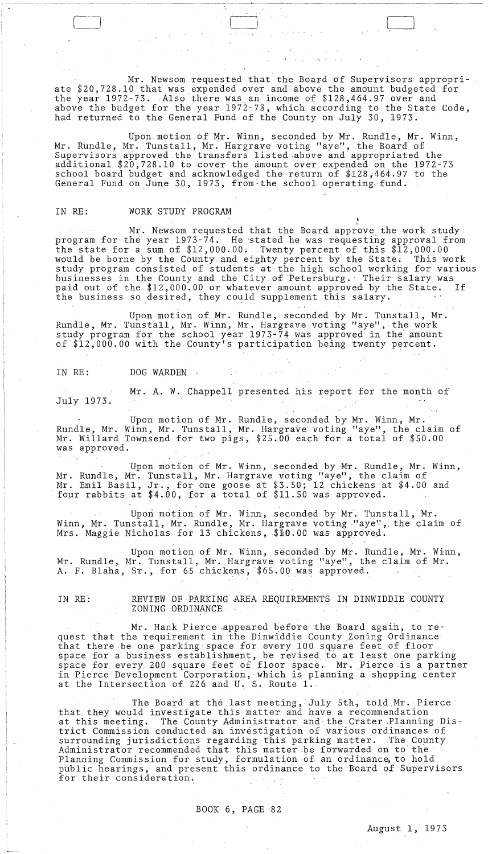Mr. Newsom requested that the Board of Supervisors appropriate \$20,728.10 that was\_expended over and above the amount budgeted for the year  $1972-73$ . Also there was an income of \$128,464.97 over and above the budget for the year 1972-73, which according to the State Code, had returned to the General Fund of the County on July 30, 1973.

) with the set of  $\Box$ 

Upon motion of Mr. Winn, seconded by Mr. Rundle, Mr. Winn, Mr. Rundle, Mr. Tunstall, Mr. Hargrave voting "aye", the Board of Supervisors approved the transfers listed.above and appropriated the additional  $$20,728.10$  to cover the amount over expended on the 1972-73 school board budget and acknowledged the return of \$128;464.97 to the General Fund on June 30, 1973, from the school operating fund.

# IN RE: WORK STUDY PROGRAM

Mr. Newsom requested that the Board approve the work study program for the year 1973-74. He stated he was requesting approval from the state for a sum of  $$12,000.00$ . Twenty percent of this  $$12,000.00$ would be borne by the County and eighty percent by the State; This work study program consisted of students at the high school working for various businesses in the County and the City of Petersburg. Their salary was<br>paid out of the \$12,000.00 or whatever amount approved by the State. If paid out of the \$12,000.00 or whatever amount approved by the State. the business so desired, they could supplement this salary.

Upon motion of Mr. Rundle, seconded by Mr. Tunstall, Mr. Rundle, Mr. Tunstall, Mr. Winn,'Mr. Hargrave voting "aye", the work study program for the school year 1973-74 was approved in the' amount of \$12,000.00 with the County's participation being twenty percent.

IN RE: DOG WARDEN :

Mr. A. W. Chappell presented his report for the month of July 1973.

Upon motion of Mr. Rundle, seconded by Mr. Winn, Mr.' Rundle, Mr. Winn, Mr. Tunstall, Mr. Hargrave' voting "aye", the claim of Mr. Willard Townsend for two  $\overline{\text{pigs}}$ ,  $\$25.00$  each for a total of  $\$50.00$ was approved.

Upon motion of Mr. Winn, seconded by-Mr. Rundle, Mr. Winn, Mr. Rundle, Mr. Tunstall, Mr. Hargrave voting "aye", the claim of Mr. Kundic, Mi. idnstall, Mi. haigiave vocing aye, the claim of  $Mr.$  Emil Basil, Jr., for one goose at \$3.50; 12 chickens at \$4.00 and four rabbits at \$4.00, for a total of \$11.50 was approved.

Upon motion of Mr. Winn, seconded by Mr. Tunstall, Mr. Winn, Mr. Tunstall, Mr. Rundle, Mr. Hargrave voting "aye", the claim of Mrs. Maggie Nicholas for 13 chickens,  $$10.00$  was approved.

Upon motion of Mr. Winn, seconded by Mr. Rundle, Mr. Winn, Mr. Rundle, Mr. Tunstall, Mr. Hargrave voting "aye", the claim of Mr. A. F. Blaha, Sr., for 65 chickens, \$65.00 was approved.

 $\mathbb{R}$ 

# IN RE: REVIEW OF PARKING AREA REQUIREMENTS IN DINWIDDIE COUNTY ZONING ORDINANCE

Mr. Hank Pierce appeared before the Board again, to request that the requirement in the Dinwiddie County Zoning Ordinance that there be one parking space for every 100 square feet of floor space for a business establishment, be revised to at least one parking space for a basiness escasiforment, so revised to is followed the parking in Pierce Development Corporation, which is planning a shopping center at the Intersection of 226 and U. S. Route 1.

The Board at the last meeting, July 5th, told Mr. Pierce that they would investigate this matter and have a recommendation at this meeting. The County Administrator and the Crater Planning District Commission conducted an investigation of various ordinances of surrounding jurisdictions regarding this parking matter. .The County Surfounding jurisdictions regarding this parking matter. The esta-Planning Commission for study, formulation of an ordinance, to hold public hearings, and present this ordinance to the Board of Supervisors for their consideration.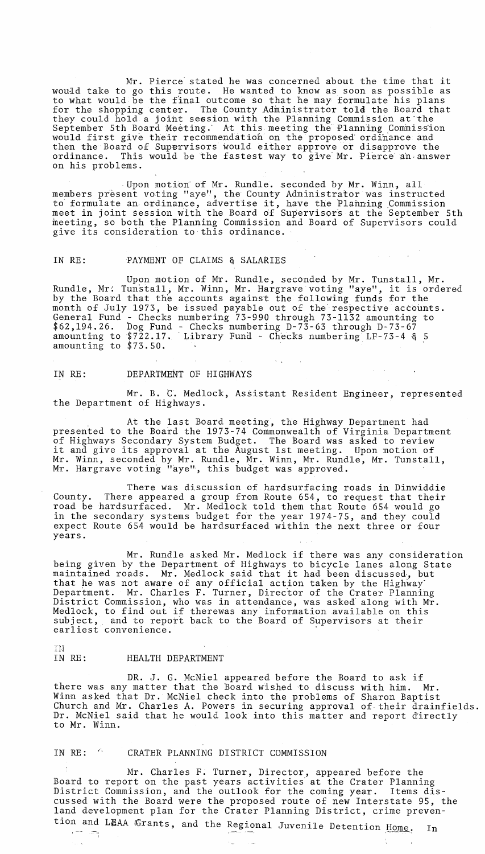Mr. Pierce' stated he was concerned about the time that it would take to go this route. He wanted to know as soon as possible as to what would be the f'inal.outcome so that he may formulate his plans for the shopping center. The County Administrator tola the Board that they could hold a joint session with the planning Commission at'the September 5th Board Meeting. At this meeting the Planning Commission would first give their recommendation on the proposed' ordi'nance and then the Board of Supervisors would either approve or disapprove the ordinance. This would be the fastest way to give Mr. Pierce an answer on his problems.

Upon motion of Mr. Rundle. seconded by Mr. Winn, all members present voting "aye", the County Administrator was instructed to formulate an ordinance, advertise it, have the Planning Commission meet in joint session with the Board of Supervisors at the September 5th meeting, so both the Planning Commission and Board of Supervisors could give its consideration to this ordinance. '

# IN RE: PAYMENT OF CLAIMS & SALARIES

Upon motion of Mr. Rundle, seconded by Mr. Tunstall, Mr. Rundle, Mr. Tunstall, Mr. Winn, Mr. Hargrave voting "aye", it is ordered by the Board that the accounts against the following funds for the month of July 1973, be issued payable out of the'respective accounts. General Fund - Checks numbering 73-990 through 73-1132 amounting to \$62,194.26. bog Fund - Checks numbering D-73-63 through D-73-67 amounting to  $\sqrt[3]{22.17}$ . Library Fund - Checks numbering LF-73-4  $\xi$  5 amounting to \$73.50.

# IN RE: DEPARTMENT OF HIGHWAYS

Mr. B. C. Medlock, Assistant Resident Engineer, represented the Department of Highways.

, At the last Board meeting, the Highway Department had presented to the Board the 1973-74 Commonwealth of Virginia Department of Highways Secondary System Budget. The Board was asked to review it and give its approval at the August 1st meeting. Upon motion of Mr. Winn, seconded by Mr. Rundle, Mr. Winn, Mr. Rundle, Mr. Tunstall, Mr. Hargrave voting "aye", this budget was approved.

There Was discussion of hardsurfacing roads in Dinwiddie County. There appeared a group from Route 654, to request that their road be hardsurfaced. Mr. Medlock told them that Route 654 would go in the secondary systems budget for the year 1974-75, and they could expect Route 654 would be hardsurfaced within the next three or four years.

Mr. Rundle asked Mr. Medlock if there was any consideration being given by the Department of Highways to bicycle lanes along State maintained roads. Mr. Medlock said that it had been discussed, but that he was not aware of any official action taken by the Highway' Department. Mr. Charles F. Turner, Director of the Crater Planning District Commission, who was in attendance, was asked' along with Mr. bistified commission, who was in accendance, was asked along with M.<br>Medlock, to find out if therewas any information available on this subject, and to report back to the Board of Supervisors at their earliest convenience.

IH

# IN RE: HEALTH DEPARTMENT

DR. J. G. McNiel appeared before the Board to ask if there was any matter that the Board wished to discuss with him. Mr. Winn asked that Dr. McNiel check into the problems of Sharon Baptist Church and Mr. Charles A. Powers in securing approval of their drainfields. Dr. McNiel said that he would look into this matter and report directly to Mr. Winn.

# IN RE:  $\hat{C}$  CRATER PLANNING DISTRICT COMMISSION

Mr. Charles F. Turner, Director, appeared before the Board to report on the past years activities' at the Crater Planning District Commission, and the outlook for the coming year. Items discussed with the Board were the proposed route of new Interstate 95, the land development plan for the Crater Planning District, crime preven-

tion and LEAA Grants, and the Regional Juvenile Detention Home. In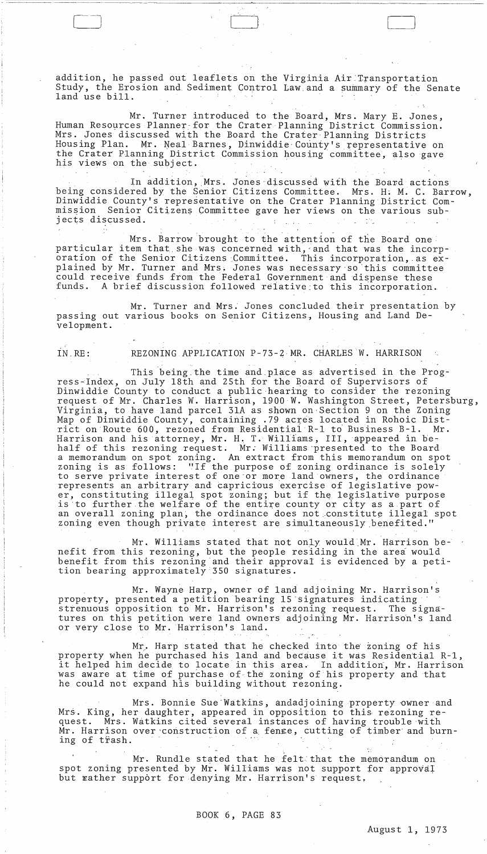addition, he passed out leaflets on the Virginia Air Transportation Study, the Erosion and Sediment Control Law, and a summary of the Senate land use bill.

 $\begin{pmatrix} 1 & 1 \\ 1 & 1 \end{pmatrix}$ ~-'---'

Mr. Turner introduced to the Board, Mrs. Mary E. Jones, Human Resources Planner-for the Crater-Planning District Commission. Mrs. Jones discussed with the Board the Crater· Planning Districts Housing Plan. Mr. Neal Barnes, Dinwiddie County's representative on the Crater Planning District Commission housing'committee, also gave his views on the subject.

In addition, Mrs. Jones discussed with the Board actions being considered by the Senior Citizens Committee. Mrs. H; M. C. Barrow, Dinwiddie County's representative on the Crater Planning District Commission Senior Citizens Committee gave her views on the various subjects discussed.

Mrs. Barrow brought to the attention of the Board one particular item that she was concerned with, and that was the incorporation of the Senior Citizens Committee. This incorporation, as explained by Mr. Turner and Mrs; Jones was necessarY'so'this committee could receive funds from the Federal Government and dispense these<br>funds. A brief discussion followed relative to this incorporation A brief discussion followed relative to this incorporation.

Mr. Turner and Mrs. Jones concluded their presentation by passing out various books on Senior Citizens~ Housing and Land Development.

IN.RE: REZONING APPLICATION P-73-2 MR. CHARLES W. HARRISON

This being the time and place as advertised in the Progress-Index, on July 18th and 2Sth for the Board of Supervisors of Dinwiddie County to conduct a public hearing to consider the rezoning request of Mr. Charles W. Harrison, 1900 W. Washington Street, Petersburg, Virginia, to have land parcel 3lA as shown on·Section 9 on the Zoning Map of Dinwiddie County, containing .79 acres located in Rohoic District on Route 600, rezoned from Residential R-1 to Business B-1. Mr. Harrison and his attorney, Mr. H. T. Williams, III, appeared in behalf of this rezoning request. Mr: Williams 'presented to the Board a memorandum on spot zoning. An extract from this memorandum on spot zoning is as follows: "If the purpose of zoning ordinance is solely to serve private interest of one or more land owners, the ordinance represents an arbitrary and tapricious exercise of legislative power, constituting illegal spot zoning; but if the legislative purpose is to further the welfare of the entire county or city as a part of an overall zoning plan, the ordinance does not constitute illegal spot zoning even though private interest are simultaneously benefited."

Mr. Williams stated that not only would Mr. Harrison benefit from this rezoning, but the people residing in the area would benefit from this rezoning 'and their approval is evidenced by a petition bearing approximately 350 signatures.

Mr. Wayne Harp, owner of land adjoining Mr. Harrison's property, presented a petition bearing lS'signatures indicating" strenuous opposition to Mr. Harrison's rezoning request. The signatures on this petition were land owners adjoining Mr. Harrison's land or very close to Mr. Harrison's land.

Mr. Harp stated that he checked into the zoning of his property when he purchased his land and because it was Residential R-1, property when he purchased his land and because it was kesidential k-1,<br>it helped him decide to locate in this area. In addition, Mr. Harrison was aware at time of purchase of the zoning of his property and that he could not expand his building without rezoning.

Mrs. Bonnie Sue-Watkins, andadjoining property owner and Mrs. King, her daughter, appeared in opposition to this rezoning request. Mrs. Watkins cited several instances of having trouble with Mr. Harrison over construction of a fence, cutting of timber and burning of trash.

Mr. Rundle stated that he felt that the memorandum on spot zoning presented by Mr. Williams was not support for approval but rather support for denying Mr. Harrison's request.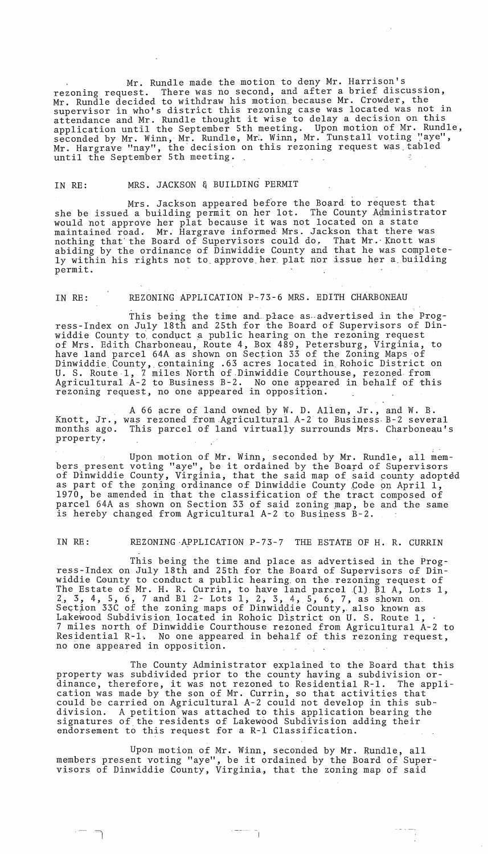Mr. Rundle made the motion to deny Mr. Harrison's rezoning request. There was no second, and after a brief discussion, Mr. Rundle decided to withdraw his motion because Mr. Crowder, the MI. Kundie declued to withdiaw his motion because in terminal, the same in supervisor in who's district this rezoning case was located was not in<br>attendance and Mr. Rundle thought it wise to delay a decision on this accondance and Mi. Randre exergence in meeting. Upon motion of Mr. Rundle, seconded by Mr. Winn, Mr. Rundle, Mr. Winn, Mr. Tunstall voting 'aye", Mr. Hargrave "nay", the decision on this rezoning request was tabled until the September 5th meeting.

# IN RE: MRS. JACKSON & BUILDING PERMIT

Mrs. Jackson appeared before the Board to request that she be issued a building permit on her lot. The County Administrator she be issued a building permit on her lot. The county Administrational state maintained road. Mr. Hargrave informed Mrs. Jackson that there was nothing that the Board of Supervisors could do. That Mr. Knott was abiding by the ordinance of Dinwiddie County and that he was completely within his rights not to. approve. her. plat nor issue her a.building permit.

# IN RE: REZONING APPLICATION P-73-6 MRS. EDITH CHARBONEAU

.<br>This being the time and place as advertised in the Progress-Index on July 18th and 25th for the Board of Supervisors of Dinwiddie County to conduct a public hearing on the rezoning request of Mrs. Edith Charboneau, Route 4, Box 489, Petersburg, Virginia, to have land parcel 64A as shown on Section 33 of the Zoning Maps of Dinwiddie. County,. containing .63 acres located in. Rohoic District on U. S. Route 1, 7 miles North of Dinwiddie Courthouse, rezoned from Agricultural A-2 to Business B-2. No one appeared in behalf of this  $r$ ezoning request, no one appeared in opposition.

A 66 acre of land owned by W. D. Allen, Jr., and W. B. Knott, Jr., was rezoned from Agricultural A-2 to Business B-2 several months ago. This parcel of land virtually surrounds Mrs. Charboneau's property.

Upon motion of Mr. Winn, seconded by Mr. Rundle, all members present voting "aye", be it ordained by the Board of Supervisors of Dinwiddie County, Virginia, that the said map of said county adopted as part of the zoning ordinance of Dinwiddie County Code on April 1, 1970, be amended in that the classification of the tract composed of parcel 64A as shown on Section 33 of said zoning map, be and the same is hereby changed from Agricultural A-2 to Business B-2.

# IN RE: REZONING·APPLICATION P-73-7 THE ESTATE OF H. R. CURRIN

This being the time and place as advertised in the Progress-Index on July 18th and 25th for the Board of Supervisors of Dinwiddie County to conduct a public hearing on the rezoning request of The Estate of Mr. H. R. Currin, to have land parcel (1) B1 A, Lots 1, 2, 3, 4, 5, 6, 7 and B1 2- Lots 1, 2, 3, 4, 5, 6, 7, as shown on. Section 33C of the zoning maps of Dinwiddie County, also known as Lakewood Subdivision located in Rohoic District on U. S. Route 1, .<br>7 miles north of Dinwiddie Courthouse rezoned from Agricultural A-2 to 7 miles north of Dinwiddie Courthouse rezoned from Agricultural A-2 to Residential R-1, No one appeared in behalf of this rezoning request, no one appeared in opposition.

The County Administrator explained to the Board that this property was subdivided prior to the county having a subdivision ordinance, therefore, it was not rezoned to Residential R-l. The application was made by the son of Mr. Currin, so that activities that could be carried on Agricultural A-2 could not develop in this subdivision. A petition' was attached to this application bearing the signatures of the residents of Lakewood Subdivision adding their endorsement to this request for a R-l Classification.

Upon motion of Mr. Winn, seconded by Mr. Rundle, all members present voting "aye", be it ordained by the Board of'Supervisors of Dinwiddie County, Virginia, that the zoning map of said

 $\overline{\phantom{a}}$ 

 $\sim$  "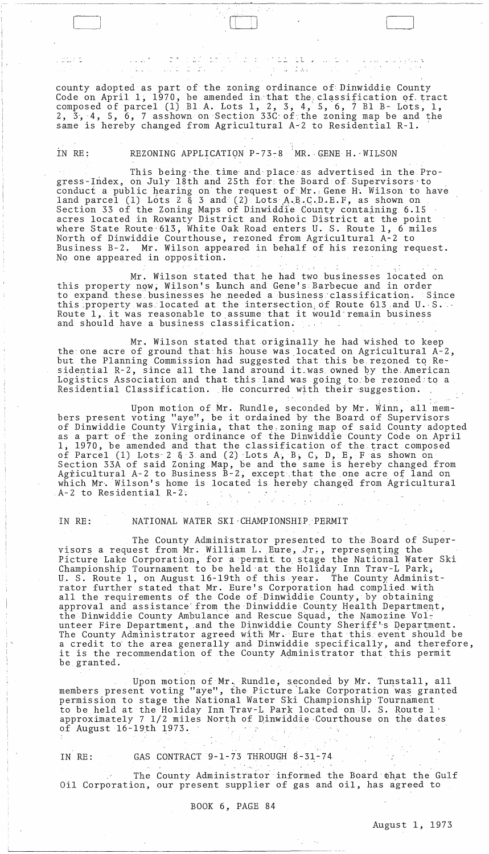i dia 1

I'

county adopted as part of the zoning ordinance of Dinwiddie County Code on April 1; 1970, be amended in that the classification of tract composed of parcel (1) Bl A. Lots 1, 2, 3, 4, 5, 6, 7 Bl B- Lots, 1, 2, 3, 4, 5, 6, 7 asshown on Section 33C of the zoning map be and the same is hereby changed from Agricultural A~2 to Residential R-l.

an di Juli

 $\begin{pmatrix} 1 & 1 \\ 1 & 1 \end{pmatrix}$ 

# IN RE: REZONING APPLICATION P-73-8 MR. GENE H. WILSON

This being-the. time and-place:as advertised in the Progress-Index, on July 18th and 25th for the Board of Supervisors to conduct a public hearing on the request of-Mr.: Gene H~ Wilson to have land parcel (1) Lots 2  $\frac{8}{9}$  3 and (2) Lots A.B.C.D.E.F, as shown on Section 33 of the Zoning Maps of Dinwiddie County containing 6.15 acres located in Rowanty District and Rohoic District at the point where State Route 613, White Oak Road enters U. S. Route 1, 6 miles North of Dinwiddie Courthouse, rezoned from Agricultural A-2 to Business B-2. Mr. Wilson appeared in behalf of his rezoning request. No one appeared in opposition.

Mr. Wilson stated that he had two businesses located on this property now, Wilson's Lunch and Gene's Barbecue and in order to expand these businesses he needed a business classification. Since this property was located at the intersection of Route 613 and U.S. Route  $1$ , it was reasonable to assume that it would remain business and should have a business classification; **Contract** 

Mr. Wilson stated that originally he had wished to keep the one acre of ground that his house was located on Agricultural A-2, but the Planning Commission had suggested that this be. rezoned *tq* Residential R-2, since all the land around it was owned by the American Logistics Association and that this land was going to be rezoned to a Residential Classification. He concurred with their suggestion.

Upon motion of Mr. Rundle, seconded by Mr. Winn, all 'members present voting "aye", be it ordained by the Board of Supervisors of Dinwiddie County Virginia, that the zoning map of said County adopted as a part of the zoning ordinance of the Dinwiddie County Code on April 1, 1970, be amended and that the classification of the tract composed of Parcel (1) Lots 2 & 3 and (2) Lots A, B, C, D, E, F as shown on Section 33A of said Zoning Map, be and the same is hereby changed from Agricultural  $A-2$  to Business  $B-2$ , except that the one acre of land on which Mr. Wilson's home is located is hereby changed from Agricultural  $A-2$  to Residential  $R-2$ . Upon motion of Mr. Rundle, seconded by Mr. Winn, al<br>bers present voting "aye", be it ordained by the Board of Superv<br>of Dinwiddie County Virginia, that the zoning map of said County<br>as a part of the zoning ordinance of the

 $\mathfrak{c} \sim$ 

# IN RE: NATIONAL WATER SKI·CHAMPIONSHIP.PERMIT

The County Administrator presented to the Board of Supervisors a request from Mr. William L. Eure, Jr., representing the visors a request from Mr. william H. Eure, 91., representing the Ski Championship Tournament to be held-at the Holiday Inn Trav-L Parkj U. S. Route 1, on August 16-19th of this year. The County Administrator further stated that Mr. Eure's Corporation had complied with all the requirements of the Code of Dinwiddie County, by obtaining approval and assistance from the Dinwiddie County Health Department, the Dinwiddie County Ambulance and Rescue Squad, the Namozine Vol~ unteer Fire Department, and the Dinwiddie County Sheriff's Department. The County Administrator agreed with Mr. Eure that this event should be a credit to the area generally and Dinwiddie specifically, and therefore, it is the recommendation of the County Administrator that this permit it is the recommendation of the County Administrator were been always that the Holiday Inn Trav-L Park;<br>I. S. Route 1, on August 16-19th of this year. The County Administrator further stated that Mr. Eure's Corporation had

Upon motion of Mr., Rundle, seconded by Mr. Tunstall, all members present voting "aye", the Picture Lake Corporation was granted permission to stage the National Water Ski Championship Tournament<br>to be held at the Holiday Inn Trav-L Park located on U. S. Route 1 to be held at the Holiday Inn Trav-L Park located on U. S. Route 1.<br>approximately 7 1/2 miles North of Dinwiddie Courthouse on the dates<br>of August 16-19th 1973. of August 16-19th 1973.

IN RE: GAS CONTRACT 9-1-73 THROUGH 8-31-74

The County Administrator informed the Board that the Gulf Oil Corporation, our present supplier of gas and oil, has agreed to

BOOK 6, PAGE 84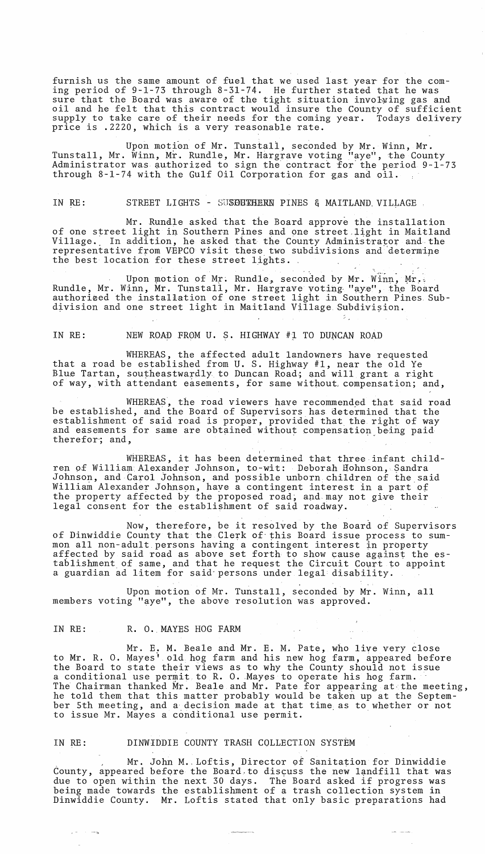furnish us the same amount of fuel that we used last year for the coming period of 9-1-73 through 8-31-74. He further stated that he was sure that the Board was aware of the tight situation involving gas and oil and he felt that this contract would insure the County of sufficient supply to take care of their needs for the coming year. Todays delivery price is .2220, which is a very reasonable rate.

Upon motion of Mr. Tunstall, seconded by Mr. Winn, Mr. Tunstall, Mr. Winn, Mr. Rundle, Mr. Hargrave voting "aye", the County Administrator was authorized to sign the contract for the period 9-1-73 through  $8-1-74$  with the Gulf Oil Corporation for gas and oil.

IN RE: STREET LIGHTS - SUSOUTHERN PINES & MAITLAND. VILLAGE.

Mr. Rundle asked that the Board approve the installation of one street light in Southern Pines and one street light in Maitland Village. In addition, he asked that the County Administrator and the representative from VEPCO visit these two subdivisions and determine the best location for these street lights.

Upon motion of Mr. Rundle, seconded by Mr. Winn, Mr. Rundle, Mr. Winn, Mr. Tunstall, Mr. Hargrave voting "aye", the Board authorized the installation of one street light in Southern Pines Subdivision and one street light in Maitland Village Subdivision.

IN RE: NEW ROAD FROM U. S. HIGHWAY #1 TO DUNCAN ROAD

WHEREAS, the affected adult landowners have requested that a road be established from U. S. Highway #1, near the old Ye Blue Tartan, southeastwardly to Duncan Road; and will grant a right of way, with attendant easements, for same without compensation; and,

WHEREAS, the road viewers have recommended that said road be established, and the Board of Supervisors has determined that the establishment of said road is proper, provided that the right of way and easements for same are obtained without compensation being paid therefor; and,

WHEREAS, it has been determined that three infant children of William Alexander Johnson, to-wit: Deborah Hohnson, Sandra Johnson, and Carol Johnson, and possible unborn children of the said William Alexander Johnson, have a contingent interest in a part of the property affected by the proposed road, and may not give their legal consent for the establishment of said roadway.

Now, therefore, be it resolved by the Board of Supervisors of Dinwiddie County that the Clerk of this Board issue process to summon all non-adult persons having a contingent interest tn property affected by said road as above set forth to show cause against the establishment of same, and that he request the Circuit Court to appoint a guardian ad litem for said-persons under legal disability.

, Upon motion of Mr. Tunstall, seconded by Mr. Winn, all members voting "aye", the above resolution was approved.

#### IN RE: R. O. MAYES HOG FARM

 $\alpha = 1, 2, \cdots$  and

Mr. E. M. Beale and Mr. E. M. Pate, who live very close to Mr. R. O. Mayes' old hog farm and his new hog farm, appeared before the Board to state their views as to why the County should not issue a conditional use permit to R. O. Mayes to operate his hog farm. The Chairman thanked Mr. Beale and Mr. Pate for appearing at the meeting, he told them that this matter probably would be taken up at the September 5th meeting, and a decision made at that time as to whether or not to issue Mr. Mayes a conditional use permit.

# IN RE: DINWIDDIE COUNTY TRASH COLLECTION SYSTEM

Mr. John M. Loftis, Director of Sanitation for Dinwiddie County, appeared before the Board to discuss the new landfill that was due to open within the next 30 days. The Board asked if progress was being made towards the establishment of a trash collection system in Dinwiddie County. Mr. Loftis stated that only basic preparations had

 $\frac{1}{2}$  . The contract construction is a sequence of  $\mathcal{L}_1$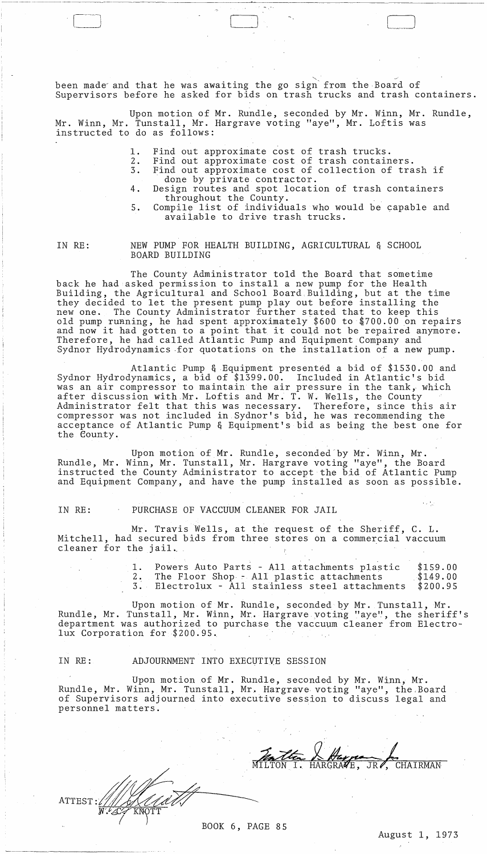been made and that he was awaiting the go sign from the Board of Supervisors before he asked for bids on trash trucks and trash containers.

Upon motion of Mr. Rundle, seconded by Mr. Winn, Mr. Rundle, Mr. Winn, Mr. Tunstall, Mr. Hargrave voting "aye", Mr. Loftis was instructed to do as follows:

1. Find out approximate cost of trash trucks.<br>2. Find out approximate cost of trash contain

- 2. Find out approximate cost of trash containers.<br>3. Find out approximate cost of collection of tra Find out approximate cost of collection of trash if
- done by private contractor.
- 4. Design routes and spot location of trash containers throughout the County.
- 5. Compile list of individuals who would be capable and available to drive trash trucks.

IN RE:

# NEW PUMP FOR HEALTH BUILDING, AGRICULTURAL & SCHOOL BOARD BUILDING

The County Administrator told the Board that sometime back he had asked permission to install a new pump for the Health Building, the Agricultural and School Board Building, but at the time they decided to let the present pump play out before installing the new one. The County Administrator further stated that to keep this old pump running, he had spent approximately \$600 to \$700.00 on repairs and now it had gotten to a point that it could not be repaired anymore. Therefore, he had called Atlantic Pump and Equipment Company and Sydnor Hydrodynamics ·for quotations on the installation of a new pump.

Atlantic Pump & Equipment presented a bid of \$1530.00 and Sydnor Hydrodynamics, a bid of \$1399.00. Included in Atlantic's bid was an air compressor to maintain the air pressure in the tank, which after discussion with Mr. Loftis and Mr. T. W. Wells, the County Administrator felt that this was necessary. Therefore, since this air compressor was not included in Sydnor's bid, he was recommending the acceptance of Atlantic Pump & Equipment's bid as being the best one for the county.

Upon motion of Mr. Rundle, seconded by Mr. Winn, Mr. Rundle, Mr. Winn, Mr. Tunstall, Mr. Hargrave voting "aye", the Board instructed the County Administrator to accept the bid of Atlantic Pump and Equipment Company, and have the pump installed as soon as possible.

# IN RE: PURCHASE OF VACCUUM CLEANER FOR JAIL

Mr. Travis Wells, at the request of the Sheriff, C. L. Mitchell, had secured bids from three stores on a commercial vaccuum cleaner for the jail ..

> 1. 2. 3. Electrolux - All stainless steel attachments Powers Auto Parts - All attachments plastic The Floor Shop - All plastic attachments \$159.00 ,\$149.00 \$200.95

Upon motion of Mr. Rundle, seconded by Mr. Tunstall, Mr. Rundle, Mr. Tunstall, Mr. Winn, Mr. Hargrave voting "aye", the sheriff's department was authorized to purchase the vaccuum cleaner from Electrolux Corporation for \$200.95.

ATTEST

# IN RE: ADJOURNMENT INTO EXECUTIVE SESSION

Upon motion of Mr. Rundle, seconded by Mr. Winn, Mr. Rundle, Mr. Winn, Mr. Tunstall, Mr. Hargrave voting "aye", the Board of Supervisors adjourned into executive session to discuss legal and personnel matters.

MILTON I. HARGRAVE, JR , CHAIRMAN

BOOK 6, PAGE 85

 $\epsilon \geq \frac{1}{2}$